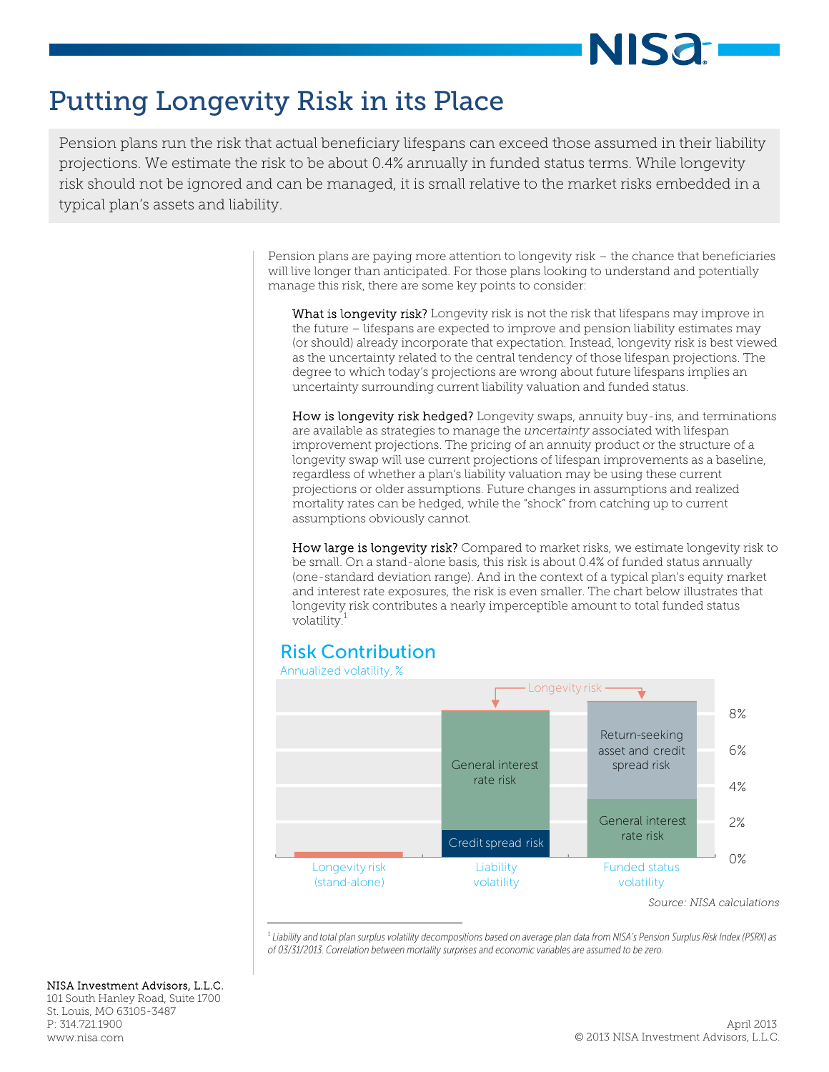# **NISa**

# Putting Longevity Risk in its Place

 projections. We estimate the risk to be about 0.4% annually in funded status terms. While longevity typical plan's assets and liability. Pension plans run the risk that actual beneficiary lifespans can exceed those assumed in their liability risk should not be ignored and can be managed, it is small relative to the market risks embedded in a

> Pension plans are paying more attention to longevity risk – the chance that beneficiaries will live longer than anticipated. For those plans looking to understand and potentially manage this risk, there are some key points to consider:

What is longevity risk? Longevity risk is not the risk that lifespans may improve in the future – lifespans are expected to improve and pension liability estimates may (or should) already incorporate that expectation. Instead, longevity risk is best viewed as the uncertainty related to the central tendency of those lifespan projections. The degree to which today's projections are wrong about future lifespans implies an uncertainty surrounding current liability valuation and funded status.

How is longevity risk hedged? Longevity swaps, annuity buy-ins, and terminations are available as strategies to manage the *uncertainty* associated with lifespan improvement projections. The pricing of an annuity product or the structure of a longevity swap will use current projections of lifespan improvements as a baseline, regardless of whether a plan's liability valuation may be using these current projections or older assumptions. Future changes in assumptions and realized mortality rates can be hedged, while the "shock" from catching up to current assumptions obviously cannot.

How large is longevity risk? Compared to market risks, we estimate longevity risk to be small. On a stand-alone basis, this risk is about 0.4% of funded status annually (one-standard deviation range). And in the context of a typical plan's equity market and interest rate exposures, the risk is even smaller. The chart below illustrates that longevity risk contributes a nearly imperceptible amount to total funded status volatility.<sup>1</sup>

# Risk Contribution



1  *Liability and total plan surplus volatility decompositions based on average plan data from NISA's Pension Surplus Risk Index (PSRX) as of 03/31/2013. Correlation between mortality surprises and economic variables are assumed to be zero.* 

#### NISA Investment Advisors, L.L.C.

101 South Hanley Road, Suite 1700 St. Louis, MO 63105-3487 P: 314.721.1900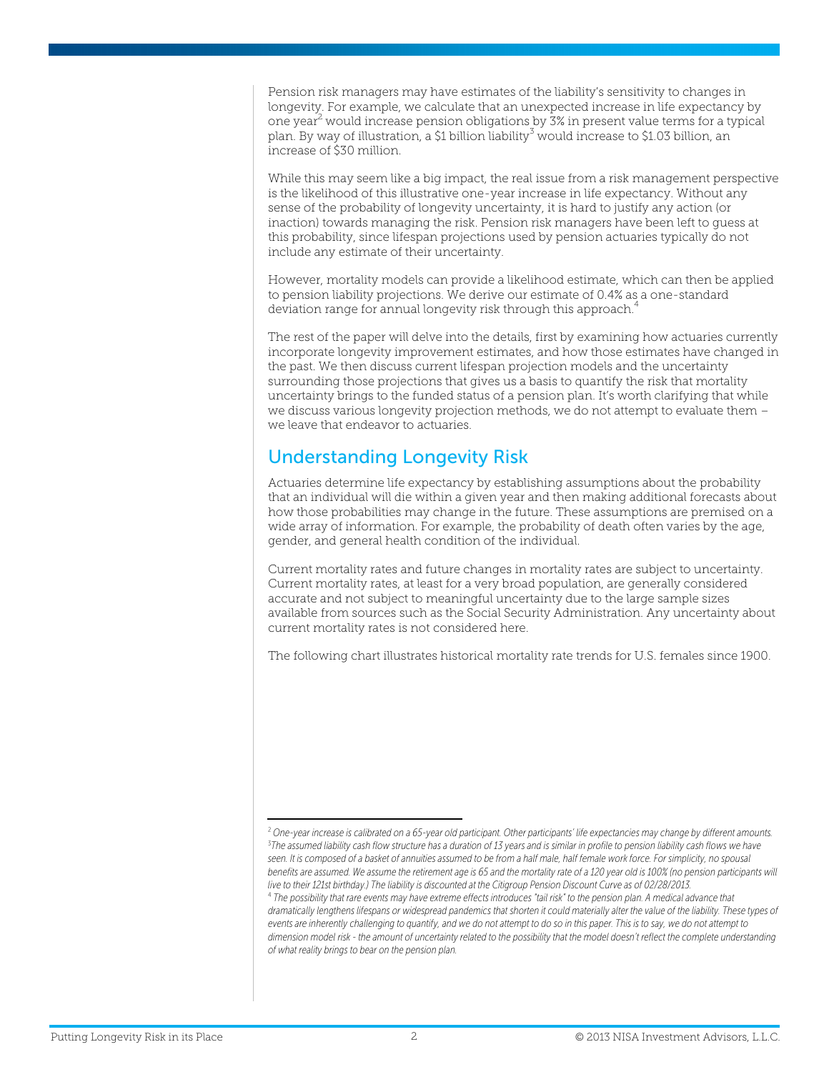Pension risk managers may have estimates of the liability's sensitivity to changes in longevity. For example, we calculate that an unexpected increase in life expectancy by one year<sup>2</sup> would increase pension obligations by 3% in present value terms for a typical plan. By way of illustration, a \$1 billion liability $^3$  would increase to \$1.03 billion, an increase of \$30 million.

While this may seem like a big impact, the real issue from a risk management perspective is the likelihood of this illustrative one-year increase in life expectancy. Without any sense of the probability of longevity uncertainty, it is hard to justify any action (or inaction) towards managing the risk. Pension risk managers have been left to guess at this probability, since lifespan projections used by pension actuaries typically do not include any estimate of their uncertainty.

However, mortality models can provide a likelihood estimate, which can then be applied to pension liability projections. We derive our estimate of 0.4% as a one-standard deviation range for annual longevity risk through this approach.<sup>4</sup>

The rest of the paper will delve into the details, first by examining how actuaries currently incorporate longevity improvement estimates, and how those estimates have changed in the past. We then discuss current lifespan projection models and the uncertainty surrounding those projections that gives us a basis to quantify the risk that mortality uncertainty brings to the funded status of a pension plan. It's worth clarifying that while we discuss various longevity projection methods, we do not attempt to evaluate them – we leave that endeavor to actuaries.

#### Understanding Longevity Risk

Actuaries determine life expectancy by establishing assumptions about the probability that an individual will die within a given year and then making additional forecasts about how those probabilities may change in the future. These assumptions are premised on a wide array of information. For example, the probability of death often varies by the age, gender, and general health condition of the individual.

Current mortality rates and future changes in mortality rates are subject to uncertainty. Current mortality rates, at least for a very broad population, are generally considered accurate and not subject to meaningful uncertainty due to the large sample sizes available from sources such as the Social Security Administration. Any uncertainty about current mortality rates is not considered here.

The following chart illustrates historical mortality rate trends for U.S. females since 1900.

<sup>2</sup>  *One-year increase is calibrated on a 65-year old participant. Other participants' life expectancies may change by different amounts.* 3 *The assumed liability cash flow structure has a duration of 13 years and is similar in profile to pension liability cash flows we have*  seen. It is composed of a basket of annuities assumed to be from a half male, half female work force. For simplicity, no spousal benefits are assumed. We assume the retirement age is 65 and the mortality rate of a 120 year old is 100% (no pension participants will *live to their 121st birthday.) The liability is discounted at the Citigroup Pension Discount Curve as of 02/28/2013.* <sup>4</sup> *The possibility that rare events may have extreme effects introduces "tail risk" to the pension plan. A medical advance that dramatically lengthens lifespans or widespread pandemics that shorten it could materially alter the value of the liability. These types of events are inherently challenging to quantify, and we do not attempt to do so in this paper. This is to say, we do not attempt to*  dimension model risk - the amount of uncertainty related to the possibility that the model doesn't reflect the complete understanding *of what reality brings to bear on the pension plan.*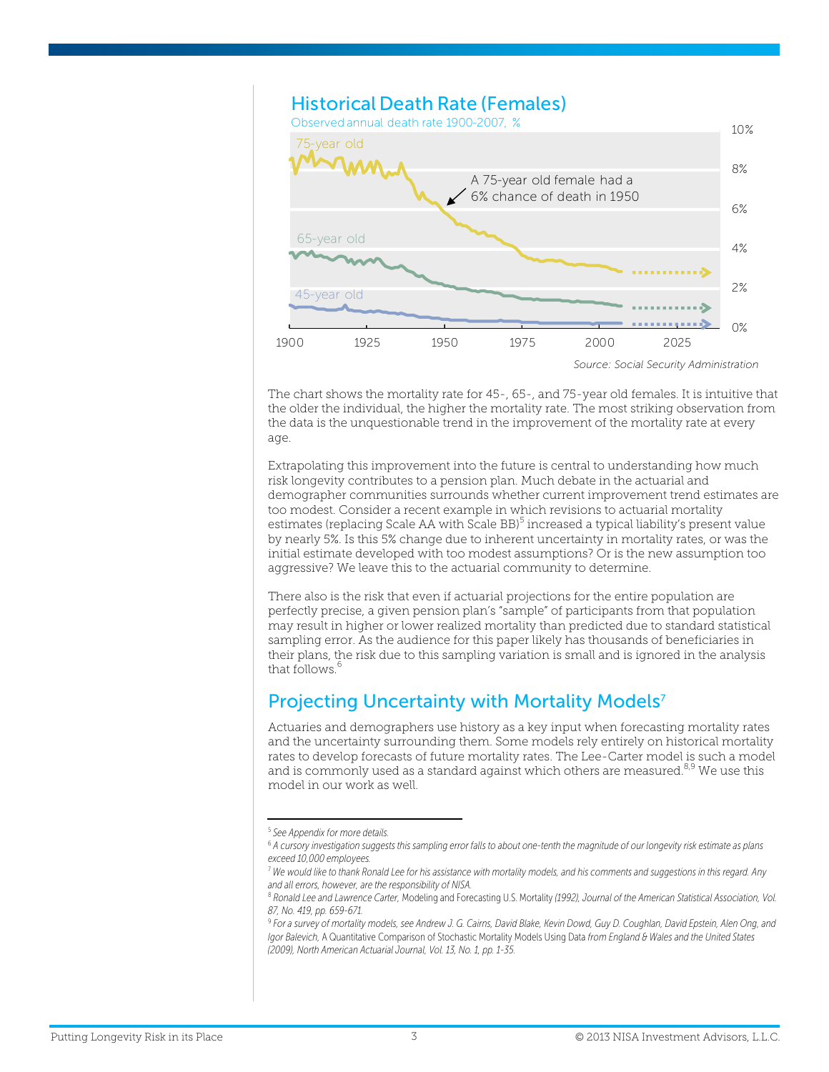

The chart shows the mortality rate for 45-, 65-, and 75-year old females. It is intuitive that the older the individual, the higher the mortality rate. The most striking observation from the data is the unquestionable trend in the improvement of the mortality rate at every age.

Extrapolating this improvement into the future is central to understanding how much risk longevity contributes to a pension plan. Much debate in the actuarial and demographer communities surrounds whether current improvement trend estimates are too modest. Consider a recent example in which revisions to actuarial mortality estimates (replacing Scale AA with Scale BB)<sup>5</sup> increased a typical liability's present value by nearly 5%. Is this 5% change due to inherent uncertainty in mortality rates, or was the initial estimate developed with too modest assumptions? Or is the new assumption too aggressive? We leave this to the actuarial community to determine.

There also is the risk that even if actuarial projections for the entire population are perfectly precise, a given pension plan's "sample" of participants from that population may result in higher or lower realized mortality than predicted due to standard statistical sampling error. As the audience for this paper likely has thousands of beneficiaries in their plans, the risk due to this sampling variation is small and is ignored in the analysis that follows.<sup>6</sup>

## Projecting Uncertainty with Mortality Models<sup>7</sup>

Actuaries and demographers use history as a key input when forecasting mortality rates and the uncertainty surrounding them. Some models rely entirely on historical mortality rates to develop forecasts of future mortality rates. The Lee-Carter model is such a model and is commonly used as a standard against which others are measured.<sup>8,9</sup> We use this model in our work as well.

<sup>5</sup>  *See Appendix for more details.* 

<sup>6</sup> *A cursory investigation suggests this sampling error falls to about one-tenth the magnitude of our longevity risk estimate as plans exceed 10,000 employees.*

<sup>7</sup>  *We would like to thank Ronald Lee for his assistance with mortality models, and his comments and suggestions in this regard. Any and all errors, however, are the responsibility of NISA.* 

<sup>8</sup>  *Ronald Lee and Lawrence Carter,* Modeling and Forecasting U.S. Mortality *(1992), Journal of the American Statistical Association, Vol. 87, No. 419, pp. 659-671.* 

<sup>&</sup>lt;sup>9</sup> For a survey of mortality models, see Andrew J. G. Cairns, David Blake, Kevin Dowd, Guy D. Coughlan, David Epstein, Alen Ong, and *Igor Balevich,* A Quantitative Comparison of Stochastic Mortality Models Using Data *from England & Wales and the United States (2009), North American Actuarial Journal, Vol. 13, No. 1, pp. 1-35.*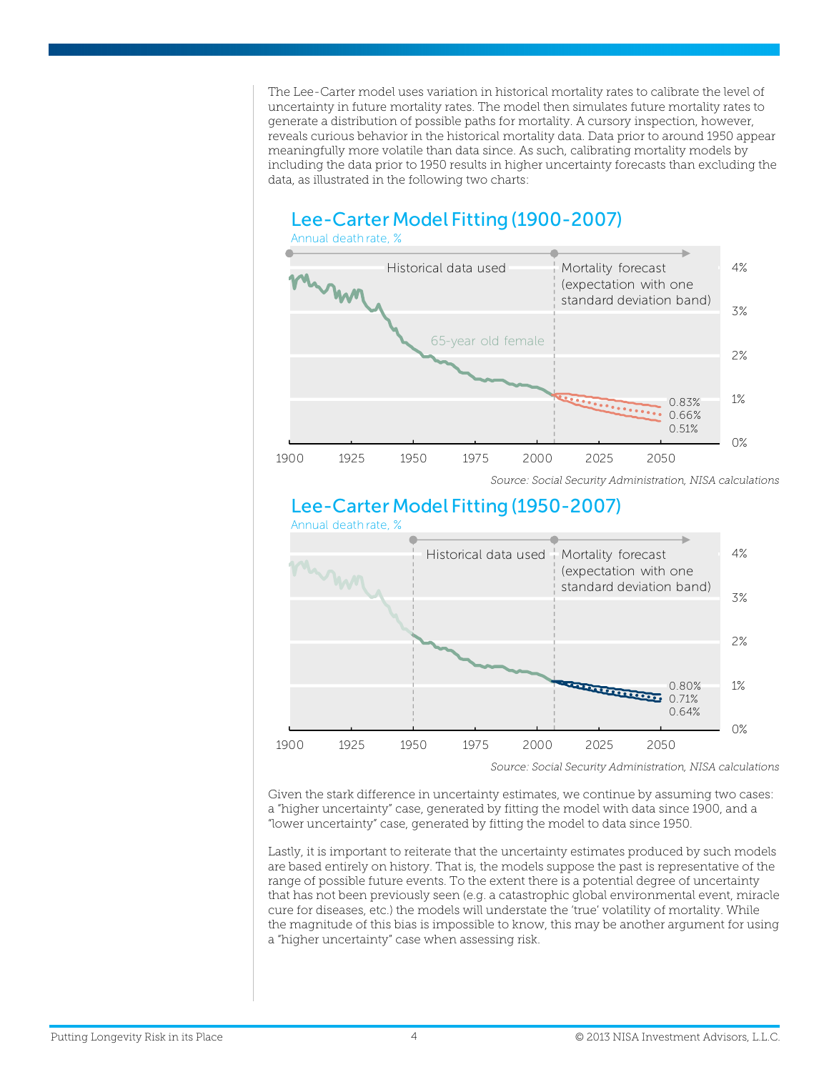The Lee-Carter model uses variation in historical mortality rates to calibrate the level of uncertainty in future mortality rates. The model then simulates future mortality rates to generate a distribution of possible paths for mortality. A cursory inspection, however, reveals curious behavior in the historical mortality data. Data prior to around 1950 appear meaningfully more volatile than data since. As such, calibrating mortality models by including the data prior to 1950 results in higher uncertainty forecasts than excluding the data, as illustrated in the following two charts:



# Lee-Carter Model Fitting (1950-2007)



Given the stark difference in uncertainty estimates, we continue by assuming two cases:

a "higher uncertainty" case, generated by fitting the model with data since 1900, and a "lower uncertainty" case, generated by fitting the model to data since 1950.

Lastly, it is important to reiterate that the uncertainty estimates produced by such models are based entirely on history. That is, the models suppose the past is representative of the range of possible future events. To the extent there is a potential degree of uncertainty that has not been previously seen (e.g. a catastrophic global environmental event, miracle cure for diseases, etc.) the models will understate the 'true' volatility of mortality. While the magnitude of this bias is impossible to know, this may be another argument for using a "higher uncertainty" case when assessing risk.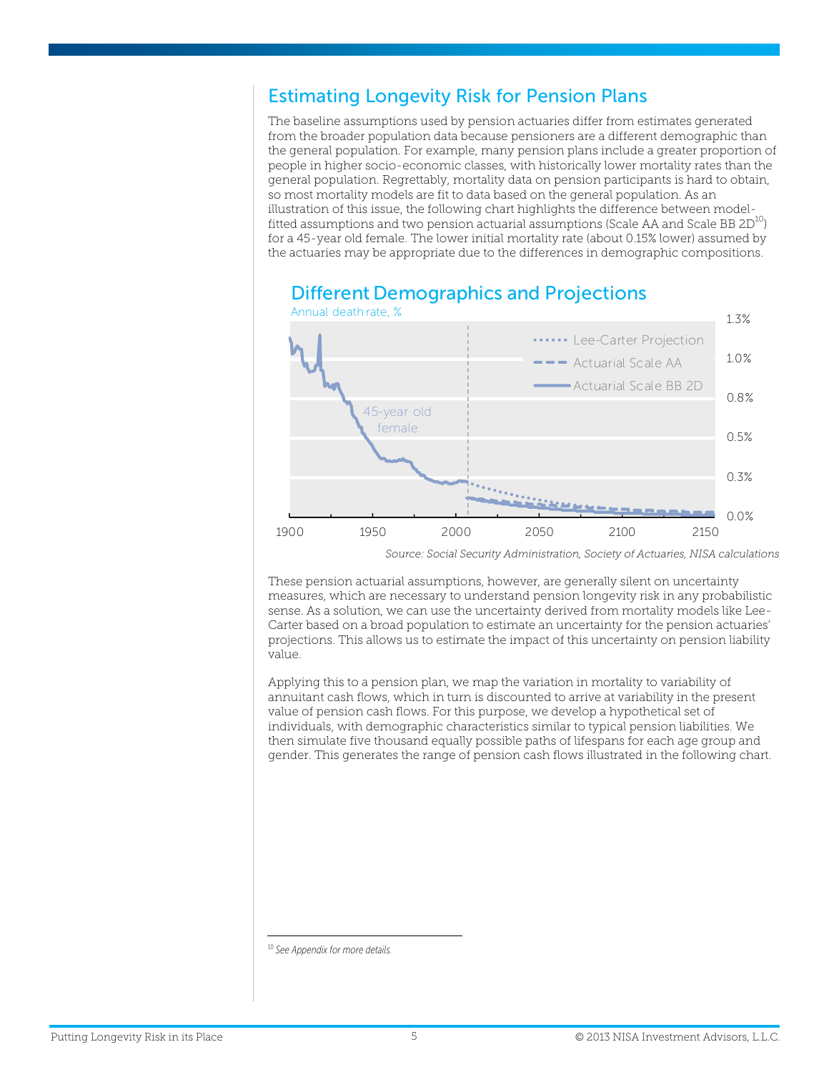## Estimating Longevity Risk for Pension Plans

The baseline assumptions used by pension actuaries differ from estimates generated from the broader population data because pensioners are a different demographic than the general population. For example, many pension plans include a greater proportion of people in higher socio-economic classes, with historically lower mortality rates than the general population. Regrettably, mortality data on pension participants is hard to obtain, so most mortality models are fit to data based on the general population. As an illustration of this issue, the following chart highlights the difference between modelfitted assumptions and two pension actuarial assumptions (Scale AA and Scale BB  $2D^{10}$ ) for a 45-year old female. The lower initial mortality rate (about 0.15% lower) assumed by the actuaries may be appropriate due to the differences in demographic compositions.



# Different Demographics and Projections

These pension actuarial assumptions, however, are generally silent on uncertainty measures, which are necessary to understand pension longevity risk in any probabilistic sense. As a solution, we can use the uncertainty derived from mortality models like Lee-Carter based on a broad population to estimate an uncertainty for the pension actuaries' projections. This allows us to estimate the impact of this uncertainty on pension liability value.

Applying this to a pension plan, we map the variation in mortality to variability of annuitant cash flows, which in turn is discounted to arrive at variability in the present value of pension cash flows. For this purpose, we develop a hypothetical set of individuals, with demographic characteristics similar to typical pension liabilities. We then simulate five thousand equally possible paths of lifespans for each age group and gender. This generates the range of pension cash flows illustrated in the following chart.

 <sup>10</sup> *See Appendix for more details.*

*Source: Social Security Administration, Society of Actuaries, NISA calculations*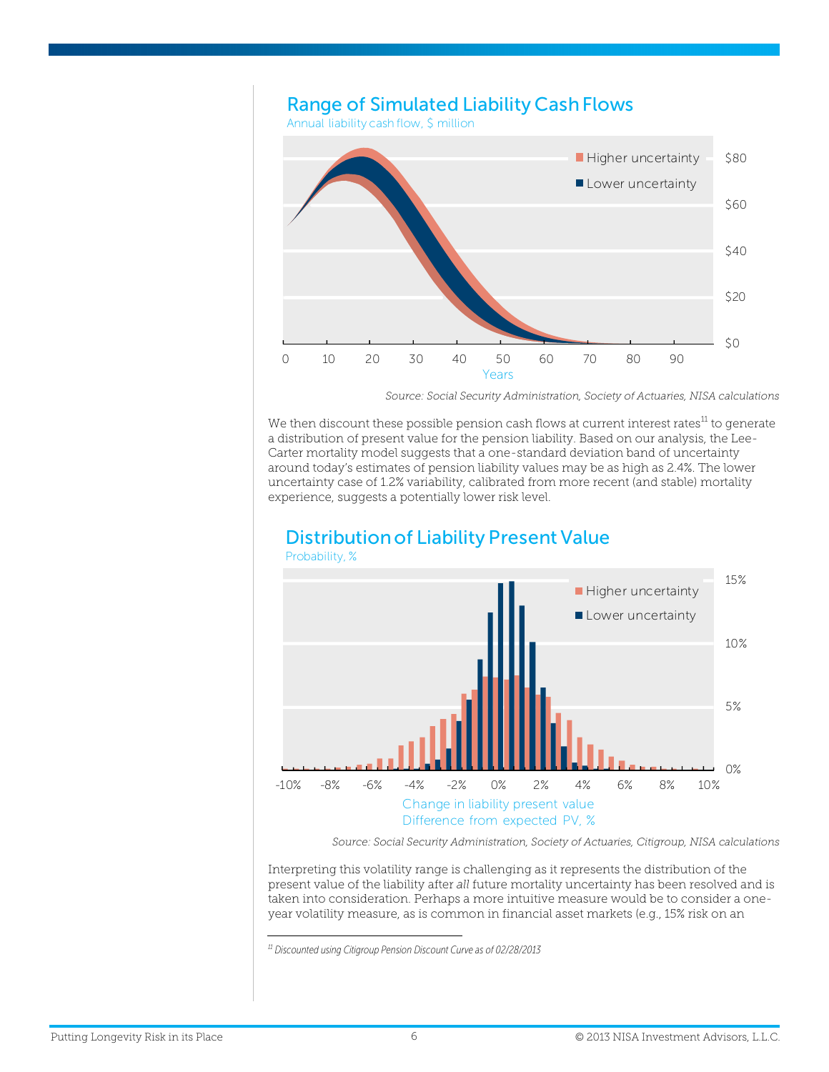

*Source: Social Security Administration, Society of Actuaries, NISA calculations* 

We then discount these possible pension cash flows at current interest rates $^{11}$  to generate a distribution of present value for the pension liability. Based on our analysis, the Lee-Carter mortality model suggests that a one-standard deviation band of uncertainty around today's estimates of pension liability values may be as high as 2.4%. The lower uncertainty case of 1.2% variability, calibrated from more recent (and stable) mortality experience, suggests a potentially lower risk level.



# Distribution of Liability Present Value

*Source: Social Security Administration, Society of Actuaries, Citigroup, NISA calculations* 

Interpreting this volatility range is challenging as it represents the distribution of the present value of the liability after *all* future mortality uncertainty has been resolved and is taken into consideration. Perhaps a more intuitive measure would be to consider a oneyear volatility measure, as is common in financial asset markets (e.g., 15% risk on an

 *11 Discounted using Citigroup Pension Discount Curve as of 02/28/2013*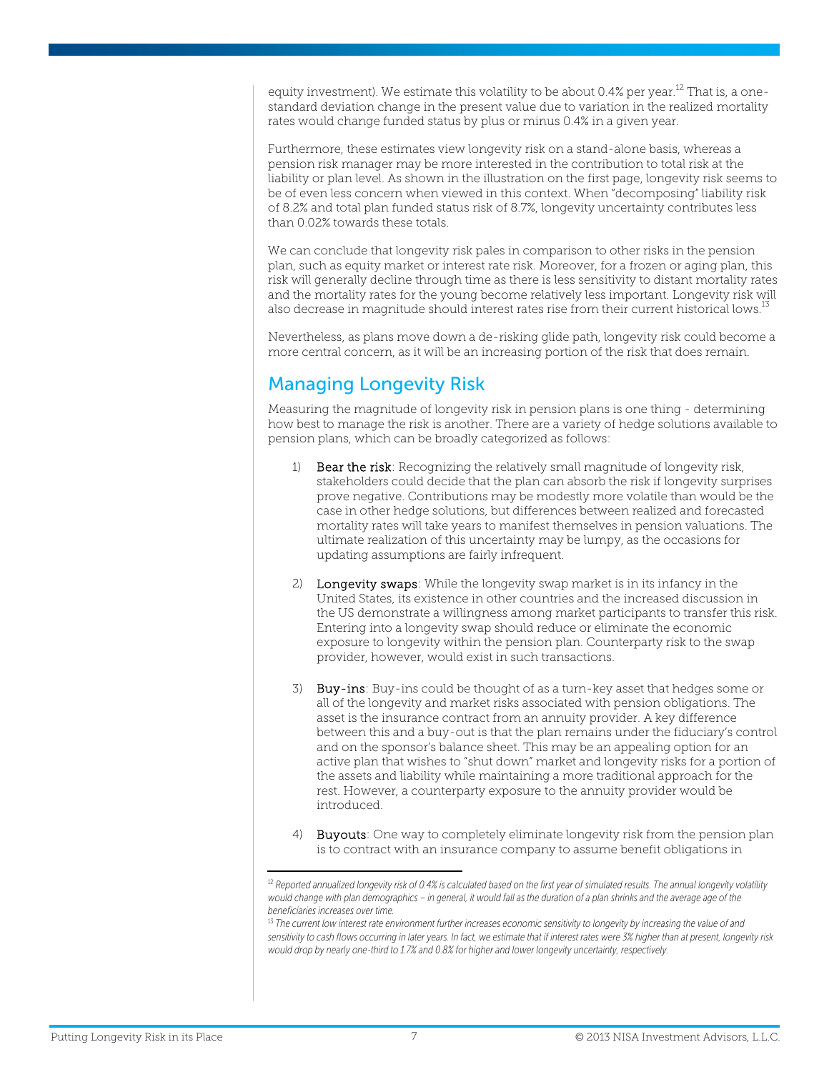equity investment). We estimate this volatility to be about 0.4% per year.<sup>12</sup> That is, a onestandard deviation change in the present value due to variation in the realized mortality rates would change funded status by plus or minus 0.4% in a given year.

Furthermore, these estimates view longevity risk on a stand-alone basis, whereas a pension risk manager may be more interested in the contribution to total risk at the liability or plan level. As shown in the illustration on the first page, longevity risk seems to be of even less concern when viewed in this context. When "decomposing" liability risk of 8.2% and total plan funded status risk of 8.7%, longevity uncertainty contributes less than 0.02% towards these totals.

We can conclude that longevity risk pales in comparison to other risks in the pension plan, such as equity market or interest rate risk. Moreover, for a frozen or aging plan, this risk will generally decline through time as there is less sensitivity to distant mortality rates and the mortality rates for the young become relatively less important. Longevity risk will also decrease in magnitude should interest rates rise from their current historical lows.<sup>13</sup>

Nevertheless, as plans move down a de-risking glide path, longevity risk could become a more central concern, as it will be an increasing portion of the risk that does remain.

# Managing Longevity Risk

Measuring the magnitude of longevity risk in pension plans is one thing - determining how best to manage the risk is another. There are a variety of hedge solutions available to pension plans, which can be broadly categorized as follows:

- 1) Bear the risk: Recognizing the relatively small magnitude of longevity risk, stakeholders could decide that the plan can absorb the risk if longevity surprises prove negative. Contributions may be modestly more volatile than would be the case in other hedge solutions, but differences between realized and forecasted mortality rates will take years to manifest themselves in pension valuations. The ultimate realization of this uncertainty may be lumpy, as the occasions for updating assumptions are fairly infrequent.
- 2) Longevity swaps: While the longevity swap market is in its infancy in the United States, its existence in other countries and the increased discussion in the US demonstrate a willingness among market participants to transfer this risk. Entering into a longevity swap should reduce or eliminate the economic exposure to longevity within the pension plan. Counterparty risk to the swap provider, however, would exist in such transactions.
- 3) Buy-ins: Buy-ins could be thought of as a turn-key asset that hedges some or all of the longevity and market risks associated with pension obligations. The asset is the insurance contract from an annuity provider. A key difference between this and a buy-out is that the plan remains under the fiduciary's control and on the sponsor's balance sheet. This may be an appealing option for an active plan that wishes to "shut down" market and longevity risks for a portion of the assets and liability while maintaining a more traditional approach for the rest. However, a counterparty exposure to the annuity provider would be introduced.
- 4) Buyouts: One way to completely eliminate longevity risk from the pension plan is to contract with an insurance company to assume benefit obligations in

<sup>&</sup>lt;sup>12</sup> Reported annualized longevity risk of 0.4% is calculated based on the first year of simulated results. The annual longevity volatility would change with plan demographics – in general, it would fall as the duration of a plan shrinks and the average age of the *beneficiaries increases over time.* 

<sup>&</sup>lt;sup>13</sup> The current low interest rate environment further increases economic sensitivity to longevity by increasing the value of and *sensitivity to cash flows occurring in later years. In fact, we estimate that if interest rates were 3% higher than at present, longevity risk would drop by nearly one-third to 1.7% and 0.8% for higher and lower longevity uncertainty, respectively.*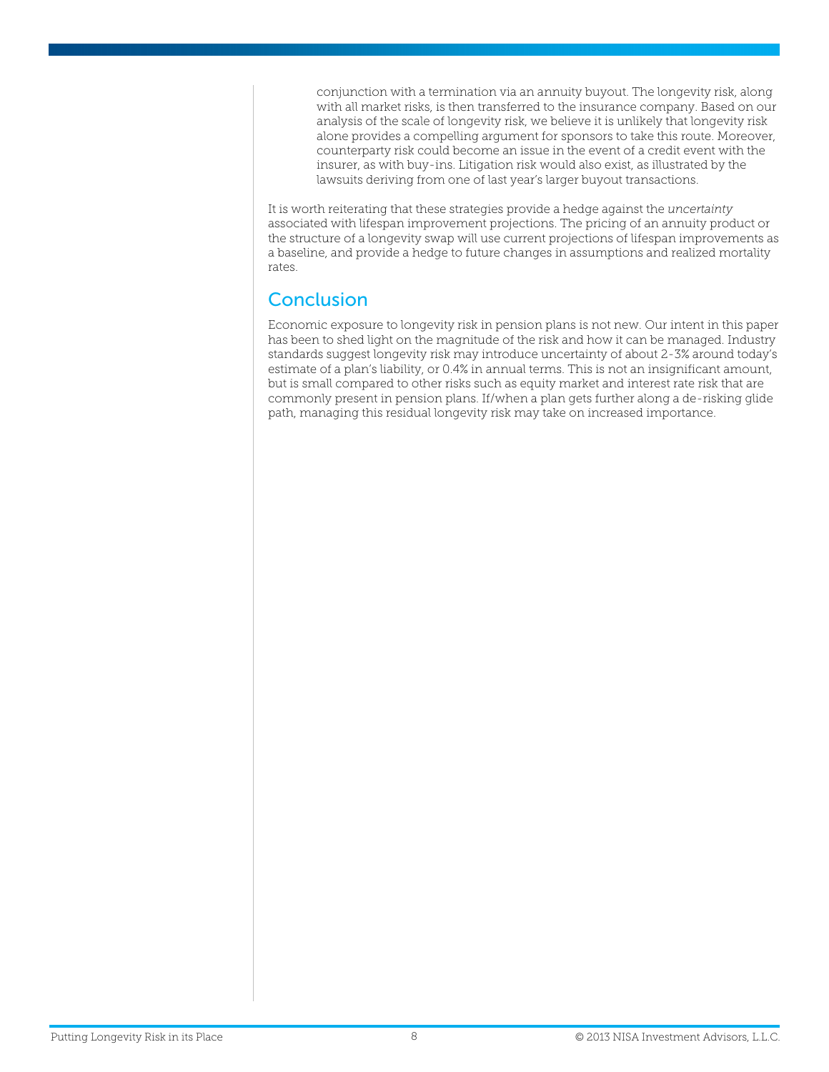conjunction with a termination via an annuity buyout. The longevity risk, along with all market risks, is then transferred to the insurance company. Based on our analysis of the scale of longevity risk, we believe it is unlikely that longevity risk alone provides a compelling argument for sponsors to take this route. Moreover, counterparty risk could become an issue in the event of a credit event with the insurer, as with buy-ins. Litigation risk would also exist, as illustrated by the lawsuits deriving from one of last year's larger buyout transactions.

It is worth reiterating that these strategies provide a hedge against the *uncertainty* associated with lifespan improvement projections. The pricing of an annuity product or the structure of a longevity swap will use current projections of lifespan improvements as a baseline, and provide a hedge to future changes in assumptions and realized mortality rates.

#### Conclusion

Economic exposure to longevity risk in pension plans is not new. Our intent in this paper has been to shed light on the magnitude of the risk and how it can be managed. Industry standards suggest longevity risk may introduce uncertainty of about 2-3% around today's estimate of a plan's liability, or 0.4% in annual terms. This is not an insignificant amount, but is small compared to other risks such as equity market and interest rate risk that are commonly present in pension plans. If/when a plan gets further along a de-risking glide path, managing this residual longevity risk may take on increased importance.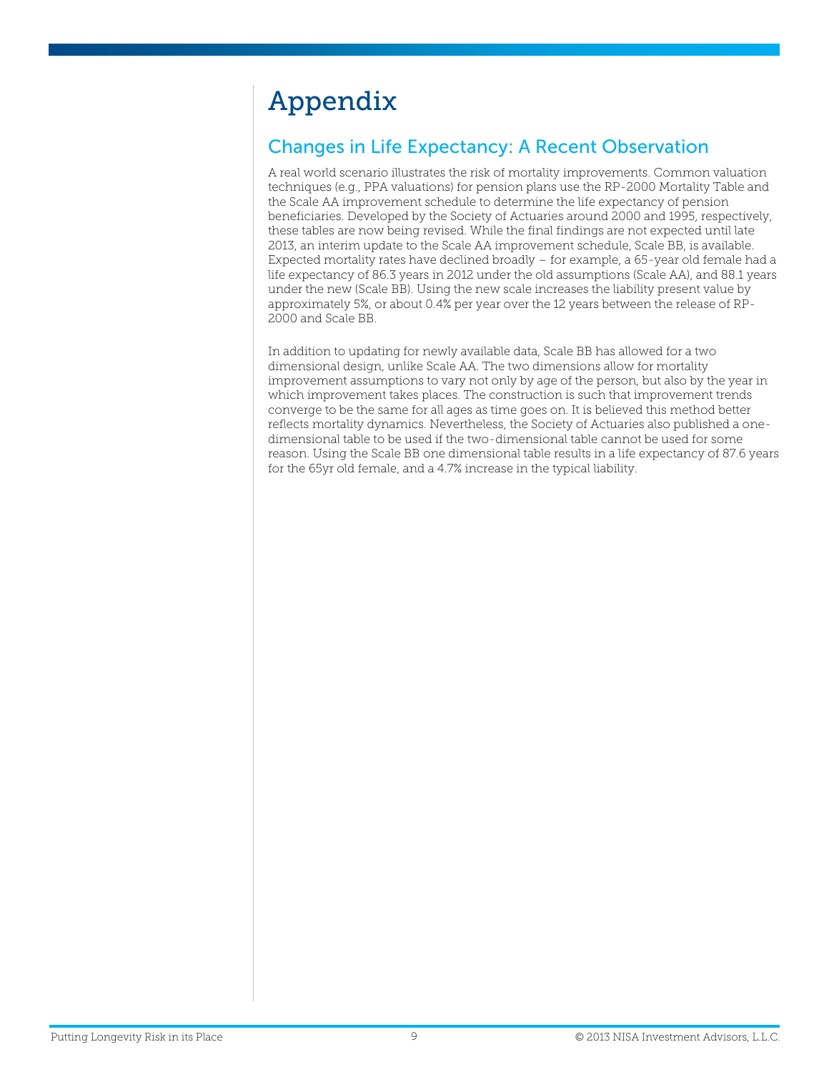# Appendix

# Changes in Life Expectancy: A Recent Observation

A real world scenario illustrates the risk of mortality improvements. Common valuation techniques (e.g., PPA valuations) for pension plans use the RP-2000 Mortality Table and the Scale AA improvement schedule to determine the life expectancy of pension beneficiaries. Developed by the Society of Actuaries around 2000 and 1995, respectively, these tables are now being revised. While the final findings are not expected until late 2013, an interim update to the Scale AA improvement schedule, Scale BB, is available. Expected mortality rates have declined broadly – for example, a 65-year old female had a life expectancy of 86.3 years in 2012 under the old assumptions (Scale AA), and 88.1 years under the new (Scale BB). Using the new scale increases the liability present value by approximately 5%, or about 0.4% per year over the 12 years between the release of RP-2000 and Scale BB.

In addition to updating for newly available data, Scale BB has allowed for a two dimensional design, unlike Scale AA. The two dimensions allow for mortality improvement assumptions to vary not only by age of the person, but also by the year in which improvement takes places. The construction is such that improvement trends converge to be the same for all ages as time goes on. It is believed this method better reflects mortality dynamics. Nevertheless, the Society of Actuaries also published a onedimensional table to be used if the two-dimensional table cannot be used for some reason. Using the Scale BB one dimensional table results in a life expectancy of 87.6 years for the 65yr old female, and a 4.7% increase in the typical liability.